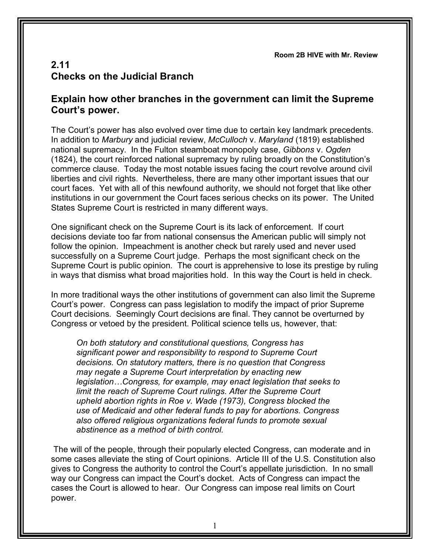**Room 2B HIVE with Mr. Review**

## **2.11 Checks on the Judicial Branch**

## **Explain how other branches in the government can limit the Supreme Court's power.**

The Court's power has also evolved over time due to certain key landmark precedents. In addition to *Marbury* and judicial review, *McCulloch* v. *Maryland* (1819) established national supremacy. In the Fulton steamboat monopoly case, *Gibbons* v. *Ogden* (1824), the court reinforced national supremacy by ruling broadly on the Constitution's commerce clause. Today the most notable issues facing the court revolve around civil liberties and civil rights. Nevertheless, there are many other important issues that our court faces. Yet with all of this newfound authority, we should not forget that like other institutions in our government the Court faces serious checks on its power. The United States Supreme Court is restricted in many different ways.

One significant check on the Supreme Court is its lack of enforcement. If court decisions deviate too far from national consensus the American public will simply not follow the opinion. Impeachment is another check but rarely used and never used successfully on a Supreme Court judge. Perhaps the most significant check on the Supreme Court is public opinion. The court is apprehensive to lose its prestige by ruling in ways that dismiss what broad majorities hold. In this way the Court is held in check.

In more traditional ways the other institutions of government can also limit the Supreme Court's power. Congress can pass legislation to modify the impact of prior Supreme Court decisions. Seemingly Court decisions are final. They cannot be overturned by Congress or vetoed by the president. Political science tells us, however, that:

*On both statutory and constitutional questions, Congress has significant power and responsibility to respond to Supreme Court decisions. On statutory matters, there is no question that Congress may negate a Supreme Court interpretation by enacting new legislation…Congress, for example, may enact legislation that seeks to limit the reach of Supreme Court rulings. After the Supreme Court upheld abortion rights in Roe v. Wade (1973), Congress blocked the use of Medicaid and other federal funds to pay for abortions. Congress also offered religious organizations federal funds to promote sexual abstinence as a method of birth control.*

The will of the people, through their popularly elected Congress, can moderate and in some cases alleviate the sting of Court opinions. Article III of the U.S. Constitution also gives to Congress the authority to control the Court's appellate jurisdiction. In no small way our Congress can impact the Court's docket. Acts of Congress can impact the cases the Court is allowed to hear. Our Congress can impose real limits on Court power.